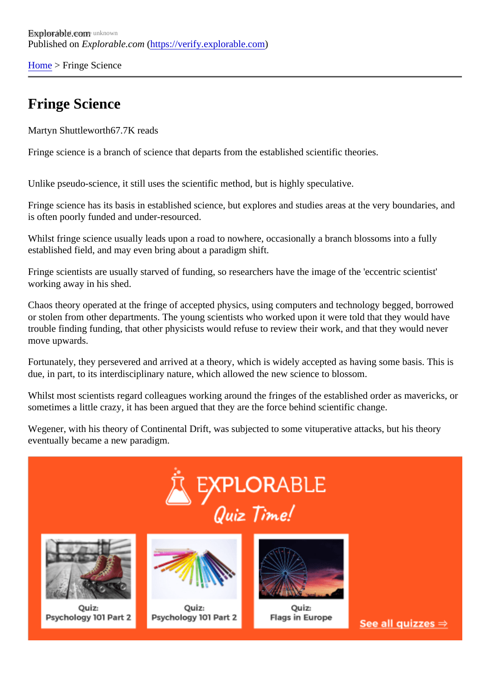[Home](https://verify.explorable.com/)> Fringe Science

## Fringe Science

Martyn Shuttlewort<sup>87</sup>.7K reads

Fringe science is a branch of science that departs from the established scientific theories.

Unlike pseudo-science, it still uses the scientific method, but is highly speculative.

Fringe science has its basis in established science, but explores and studies areas at the very boundaries is often poorly funded and under-resourced.

Whilst fringe science usually leads upon a road to nowhere, occasionally a branch blossoms into a fully established field, and may even bring about a paradigm shift.

Fringe scientists are usually starved of funding, so researchers have the image of the 'eccentric scientist' working away in his shed.

Chaos theory operated at the fringe of accepted physics, using computers and technology begged, borrow or stolen from other departments. The young scientists who worked upon it were told that they would have trouble finding funding, that other physicists would refuse to review their work, and that they would never move upwards.

Fortunately, they persevered and arrived at a theory, which is widely accepted as having some basis. This due, in part, to its interdisciplinary nature, which allowed the new science to blossom.

Whilst most scientists regard colleagues working around the fringes of the established order as mavericks sometimes a little crazy, it has been argued that they are the force behind scientific change.

Wegener, with his theory of Continental Drift, was subjected to some vituperative attacks, but his theory eventually became a new paradigm.